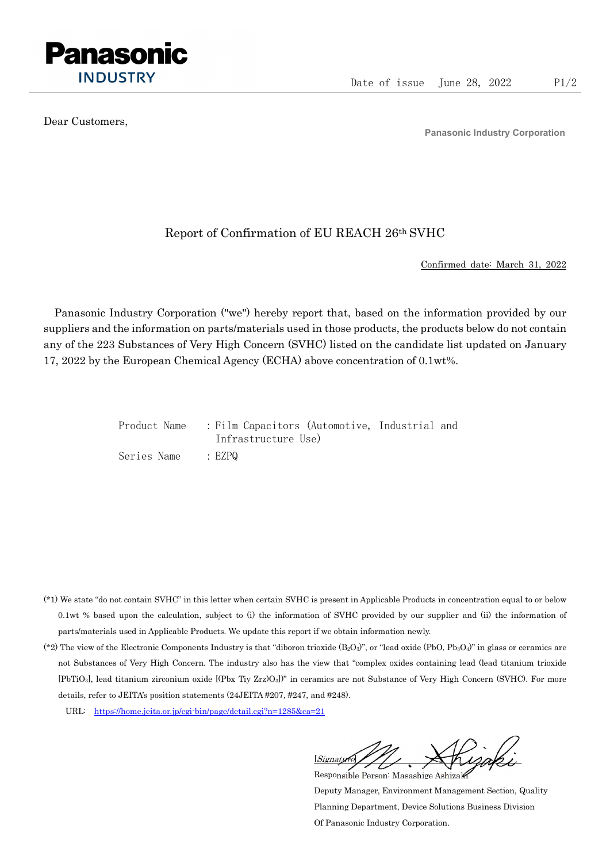

Dear Customers,

Panasonic Industry Corporation

## Report of Confirmation of EU REACH 26th SVHC

Confirmed date: March 31, 2022

Panasonic Industry Corporation ("we") hereby report that, based on the information provided by our suppliers and the information on parts/materials used in those products, the products below do not contain any of the 223 Substances of Very High Concern (SVHC) listed on the candidate list updated on January 17, 2022 by the European Chemical Agency (ECHA) above concentration of 0.1wt%.

| Product Name | : Film Capacitors (Automotive, Industrial and |  |
|--------------|-----------------------------------------------|--|
|              | Infrastructure Use)                           |  |
| Series Name  | : EZPQ                                        |  |

- (\*1) We state "do not contain SVHC" in this letter when certain SVHC is present in Applicable Products in concentration equal to or below 0.1wt % based upon the calculation, subject to (i) the information of SVHC provided by our supplier and (ii) the information of parts/materials used in Applicable Products. We update this report if we obtain information newly.
- (\*2) The view of the Electronic Components Industry is that "diboron trioxide  $(B_2O_3)$ ", or "lead oxide (PbO, Pb<sub>3</sub>O<sub>4</sub>)" in glass or ceramics are not Substances of Very High Concern. The industry also has the view that "complex oxides containing lead (lead titanium trioxide [PbTiO3], lead titanium zirconium oxide [(Pbx Tiy Zrz)O3])" in ceramics are not Substance of Very High Concern (SVHC). For more details, refer to JEITA's position statements (24JEITA #207, #247, and #248).
	- URL: https://home.jeita.or.jp/cgi-bin/page/detail.cgi?n=1285&ca=21

[Signature] Responsible Person: Masashige Ashizaki

Deputy Manager, Environment Management Section, Quality Planning Department, Device Solutions Business Division Of Panasonic Industry Corporation.